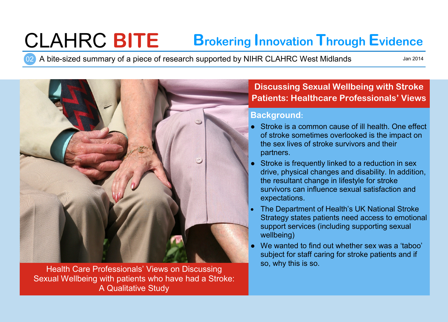# CLAHRC **BITE Brokering Innovation Through Evidence**

02 A bite-sized summary of a piece of research supported by NIHR CLAHRC West Midlands

Jan 2014



Health Care Professionals' Views on Discussing Sexual Wellbeing with patients who have had a Stroke: A Qualitative Study

## **Discussing Sexual Wellbeing with Stroke Patients: Healthcare Professionals' Views**

### **Background:**

- Stroke is a common cause of ill health. One effect of stroke sometimes overlooked is the impact on the sex lives of stroke survivors and their partners.
- Stroke is frequently linked to a reduction in sex drive, physical changes and disability. In addition, the resultant change in lifestyle for stroke survivors can influence sexual satisfaction and expectations.
- The Department of Health's UK National Stroke Strategy states patients need access to emotional support services (including supporting sexual wellbeing)
- We wanted to find out whether sex was a 'taboo' subject for staff caring for stroke patients and if so, why this is so.